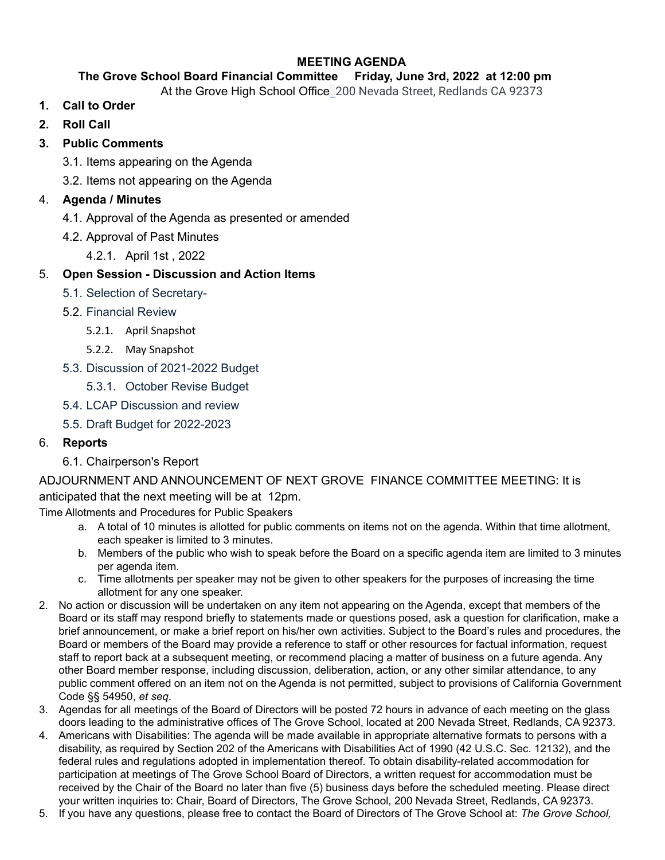### **MEETING AGENDA**

### **The Grove School Board Financial Committee Friday, June 3rd, 2022 at 12:00 pm**

- At the Grove High School Office 200 Nevada Street, Redlands CA 92373
- **1. Call to Order**
- **2. Roll Call**

## **3. Public Comments**

- 3.1. Items appearing on the Agenda
- 3.2. Items not appearing on the Agenda

## 4. **Agenda / Minutes**

- 4.1. Approval of the Agenda as presented or amended
- 4.2. Approval of Past Minutes
	- 4.2.1. April 1st , 2022

## 5. **Open Session - Discussion and Action Items**

- 5.1. Selection of Secretary-
- 5.2. Financial Review
	- 5.2.1. April Snapshot
	- 5.2.2. May Snapshot
- 5.3. Discussion of 2021-2022 Budget
	- 5.3.1. October Revise Budget
- 5.4. LCAP Discussion and review
- 5.5. Draft Budget for 2022-2023

### 6. **Reports**

6.1. Chairperson's Report

# ADJOURNMENT AND ANNOUNCEMENT OF NEXT GROVE FINANCE COMMITTEE MEETING: It is anticipated that the next meeting will be at 12pm.

Time Allotments and Procedures for Public Speakers

- a. A total of 10 minutes is allotted for public comments on items not on the agenda. Within that time allotment, each speaker is limited to 3 minutes.
- b. Members of the public who wish to speak before the Board on a specific agenda item are limited to 3 minutes per agenda item.
- c. Time allotments per speaker may not be given to other speakers for the purposes of increasing the time allotment for any one speaker.
- 2. No action or discussion will be undertaken on any item not appearing on the Agenda, except that members of the Board or its staff may respond briefly to statements made or questions posed, ask a question for clarification, make a brief announcement, or make a brief report on his/her own activities. Subject to the Board's rules and procedures, the Board or members of the Board may provide a reference to staff or other resources for factual information, request staff to report back at a subsequent meeting, or recommend placing a matter of business on a future agenda. Any other Board member response, including discussion, deliberation, action, or any other similar attendance, to any public comment offered on an item not on the Agenda is not permitted, subject to provisions of California Government Code §§ 54950, *et seq*.
- 3. Agendas for all meetings of the Board of Directors will be posted 72 hours in advance of each meeting on the glass doors leading to the administrative offices of The Grove School, located at 200 Nevada Street, Redlands, CA 92373.
- 4. Americans with Disabilities: The agenda will be made available in appropriate alternative formats to persons with a disability, as required by Section 202 of the Americans with Disabilities Act of 1990 (42 U.S.C. Sec. 12132), and the federal rules and regulations adopted in implementation thereof. To obtain disability-related accommodation for participation at meetings of The Grove School Board of Directors, a written request for accommodation must be received by the Chair of the Board no later than five (5) business days before the scheduled meeting. Please direct your written inquiries to: Chair, Board of Directors, The Grove School, 200 Nevada Street, Redlands, CA 92373.
- 5. If you have any questions, please free to contact the Board of Directors of The Grove School at: *The Grove School,*